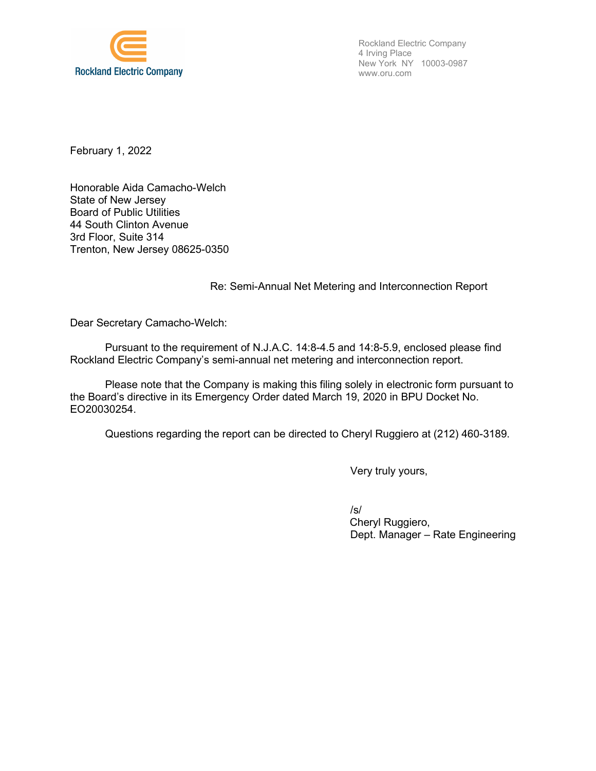

Rockland Electric Company 4 Irving Place New York NY 10003-0987 www.oru.com

February 1, 2022

Honorable Aida Camacho-Welch State of New Jersey Board of Public Utilities 44 South Clinton Avenue 3rd Floor, Suite 314 Trenton, New Jersey 08625-0350

## Re: Semi-Annual Net Metering and Interconnection Report

Dear Secretary Camacho-Welch:

Pursuant to the requirement of N.J.A.C. 14:8-4.5 and 14:8-5.9, enclosed please find Rockland Electric Company's semi-annual net metering and interconnection report.

Please note that the Company is making this filing solely in electronic form pursuant to the Board's directive in its Emergency Order dated March 19, 2020 in BPU Docket No. EO20030254.

Questions regarding the report can be directed to Cheryl Ruggiero at (212) 460-3189.

Very truly yours,

/s/ Cheryl Ruggiero, Dept. Manager – Rate Engineering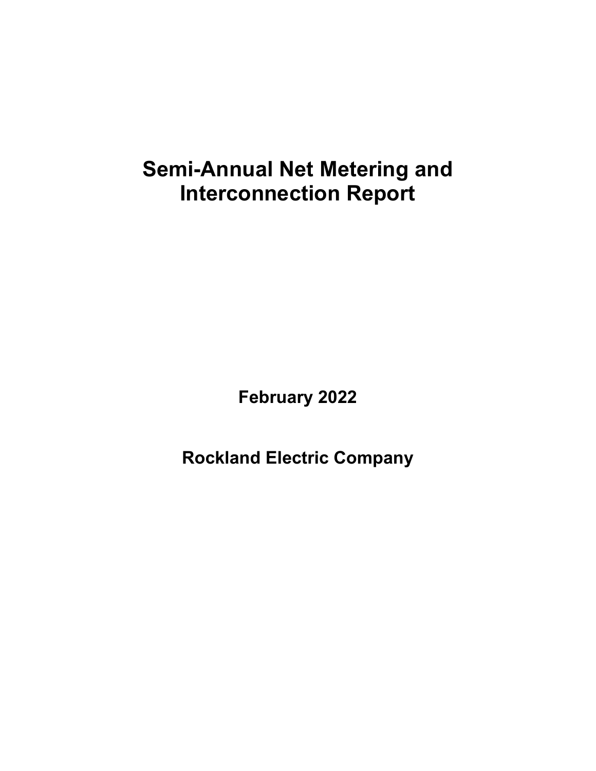## **Semi-Annual Net Metering and Interconnection Report**

**February 2022** 

**Rockland Electric Company**